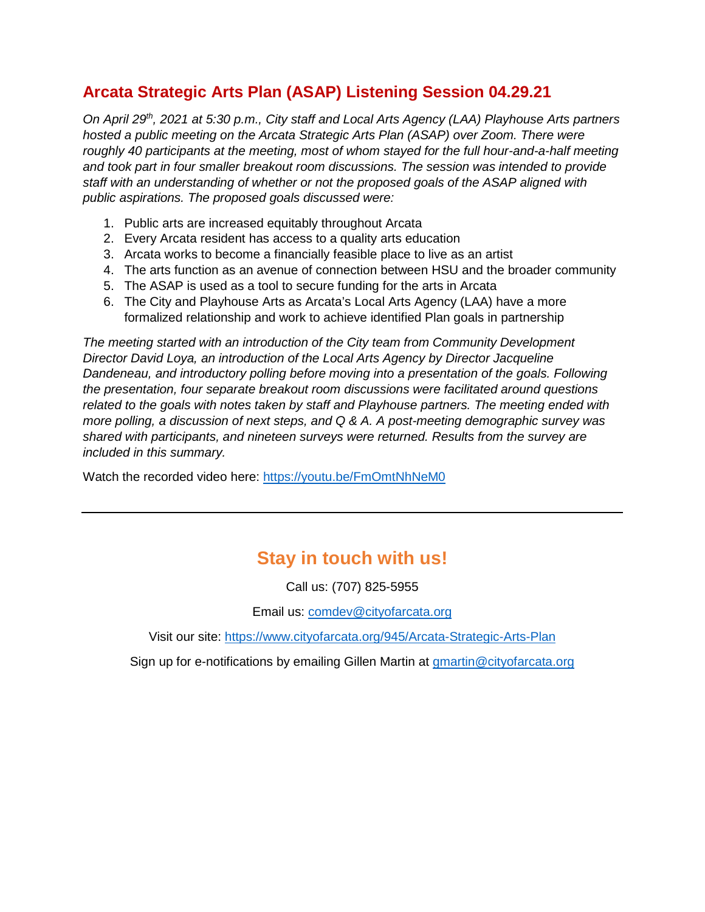### **Arcata Strategic Arts Plan (ASAP) Listening Session 04.29.21**

*On April 29th, 2021 at 5:30 p.m., City staff and Local Arts Agency (LAA) Playhouse Arts partners hosted a public meeting on the Arcata Strategic Arts Plan (ASAP) over Zoom. There were roughly 40 participants at the meeting, most of whom stayed for the full hour-and-a-half meeting and took part in four smaller breakout room discussions. The session was intended to provide staff with an understanding of whether or not the proposed goals of the ASAP aligned with public aspirations. The proposed goals discussed were:* 

- 1. Public arts are increased equitably throughout Arcata
- 2. Every Arcata resident has access to a quality arts education
- 3. Arcata works to become a financially feasible place to live as an artist
- 4. The arts function as an avenue of connection between HSU and the broader community
- 5. The ASAP is used as a tool to secure funding for the arts in Arcata
- 6. The City and Playhouse Arts as Arcata's Local Arts Agency (LAA) have a more formalized relationship and work to achieve identified Plan goals in partnership

*The meeting started with an introduction of the City team from Community Development Director David Loya, an introduction of the Local Arts Agency by Director Jacqueline Dandeneau, and introductory polling before moving into a presentation of the goals. Following the presentation, four separate breakout room discussions were facilitated around questions related to the goals with notes taken by staff and Playhouse partners. The meeting ended with more polling, a discussion of next steps, and Q & A. A post-meeting demographic survey was shared with participants, and nineteen surveys were returned. Results from the survey are included in this summary.* 

Watch the recorded video here: <https://youtu.be/FmOmtNhNeM0>

# **Stay in touch with us!**

Call us: (707) 825-5955

Email us: [comdev@cityofarcata.org](mailto:comdev@cityofarcata.org)

Visit our site:<https://www.cityofarcata.org/945/Arcata-Strategic-Arts-Plan>

Sign up for e-notifications by emailing Gillen Martin at [gmartin@cityofarcata.org](mailto:gmartin@cityofarcata.org)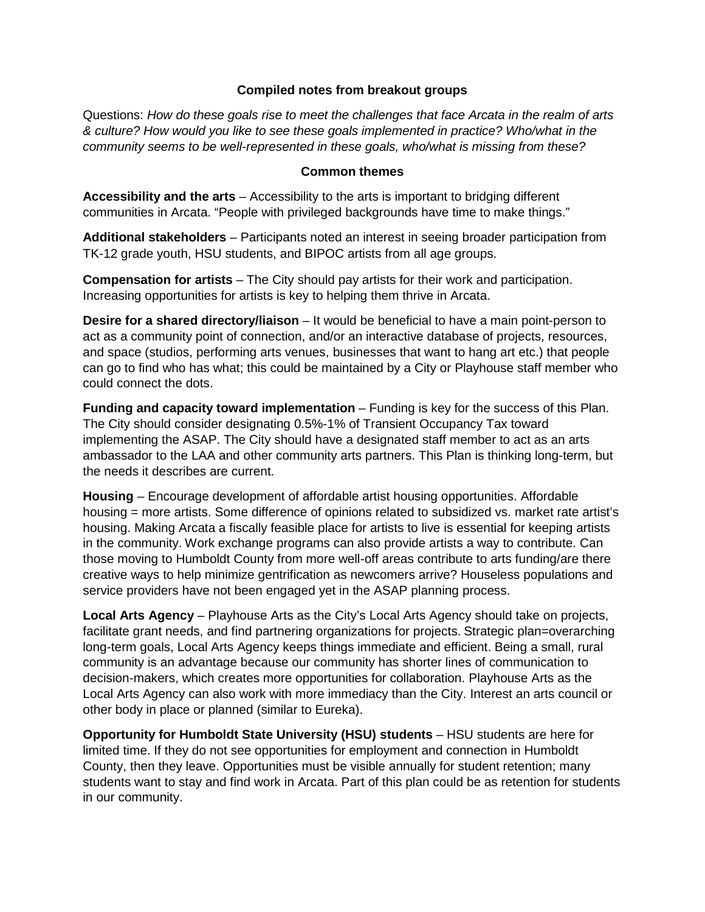#### **Compiled notes from breakout groups**

Questions: *How do these goals rise to meet the challenges that face Arcata in the realm of arts & culture? How would you like to see these goals implemented in practice? Who/what in the community seems to be well-represented in these goals, who/what is missing from these?*

#### **Common themes**

**Accessibility and the arts** – Accessibility to the arts is important to bridging different communities in Arcata. "People with privileged backgrounds have time to make things."

**Additional stakeholders** – Participants noted an interest in seeing broader participation from TK-12 grade youth, HSU students, and BIPOC artists from all age groups.

**Compensation for artists** – The City should pay artists for their work and participation. Increasing opportunities for artists is key to helping them thrive in Arcata.

**Desire for a shared directory/liaison** – It would be beneficial to have a main point-person to act as a community point of connection, and/or an interactive database of projects, resources, and space (studios, performing arts venues, businesses that want to hang art etc.) that people can go to find who has what; this could be maintained by a City or Playhouse staff member who could connect the dots.

**Funding and capacity toward implementation** – Funding is key for the success of this Plan. The City should consider designating 0.5%-1% of Transient Occupancy Tax toward implementing the ASAP. The City should have a designated staff member to act as an arts ambassador to the LAA and other community arts partners. This Plan is thinking long-term, but the needs it describes are current.

**Housing** – Encourage development of affordable artist housing opportunities. Affordable housing = more artists. Some difference of opinions related to subsidized vs. market rate artist's housing. Making Arcata a fiscally feasible place for artists to live is essential for keeping artists in the community. Work exchange programs can also provide artists a way to contribute. Can those moving to Humboldt County from more well-off areas contribute to arts funding/are there creative ways to help minimize gentrification as newcomers arrive? Houseless populations and service providers have not been engaged yet in the ASAP planning process.

**Local Arts Agency** – Playhouse Arts as the City's Local Arts Agency should take on projects, facilitate grant needs, and find partnering organizations for projects. Strategic plan=overarching long-term goals, Local Arts Agency keeps things immediate and efficient. Being a small, rural community is an advantage because our community has shorter lines of communication to decision-makers, which creates more opportunities for collaboration. Playhouse Arts as the Local Arts Agency can also work with more immediacy than the City. Interest an arts council or other body in place or planned (similar to Eureka).

**Opportunity for Humboldt State University (HSU) students** – HSU students are here for limited time. If they do not see opportunities for employment and connection in Humboldt County, then they leave. Opportunities must be visible annually for student retention; many students want to stay and find work in Arcata. Part of this plan could be as retention for students in our community.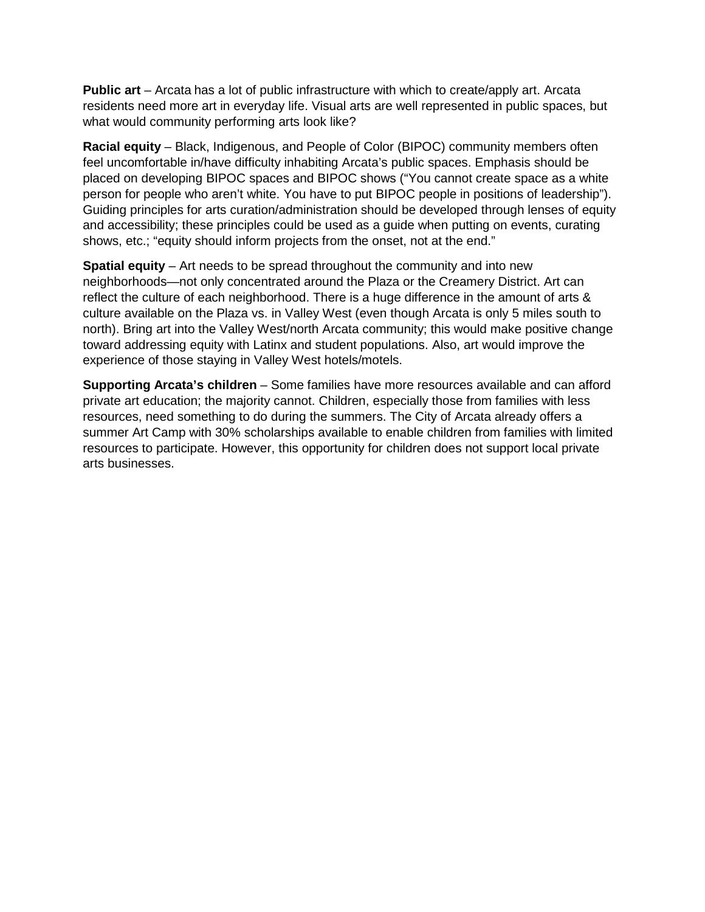**Public art** – Arcata has a lot of public infrastructure with which to create/apply art. Arcata residents need more art in everyday life. Visual arts are well represented in public spaces, but what would community performing arts look like?

**Racial equity** – Black, Indigenous, and People of Color (BIPOC) community members often feel uncomfortable in/have difficulty inhabiting Arcata's public spaces. Emphasis should be placed on developing BIPOC spaces and BIPOC shows ("You cannot create space as a white person for people who aren't white. You have to put BIPOC people in positions of leadership"). Guiding principles for arts curation/administration should be developed through lenses of equity and accessibility; these principles could be used as a guide when putting on events, curating shows, etc.; "equity should inform projects from the onset, not at the end."

**Spatial equity** – Art needs to be spread throughout the community and into new neighborhoods—not only concentrated around the Plaza or the Creamery District. Art can reflect the culture of each neighborhood. There is a huge difference in the amount of arts & culture available on the Plaza vs. in Valley West (even though Arcata is only 5 miles south to north). Bring art into the Valley West/north Arcata community; this would make positive change toward addressing equity with Latinx and student populations. Also, art would improve the experience of those staying in Valley West hotels/motels.

**Supporting Arcata's children** – Some families have more resources available and can afford private art education; the majority cannot. Children, especially those from families with less resources, need something to do during the summers. The City of Arcata already offers a summer Art Camp with 30% scholarships available to enable children from families with limited resources to participate. However, this opportunity for children does not support local private arts businesses.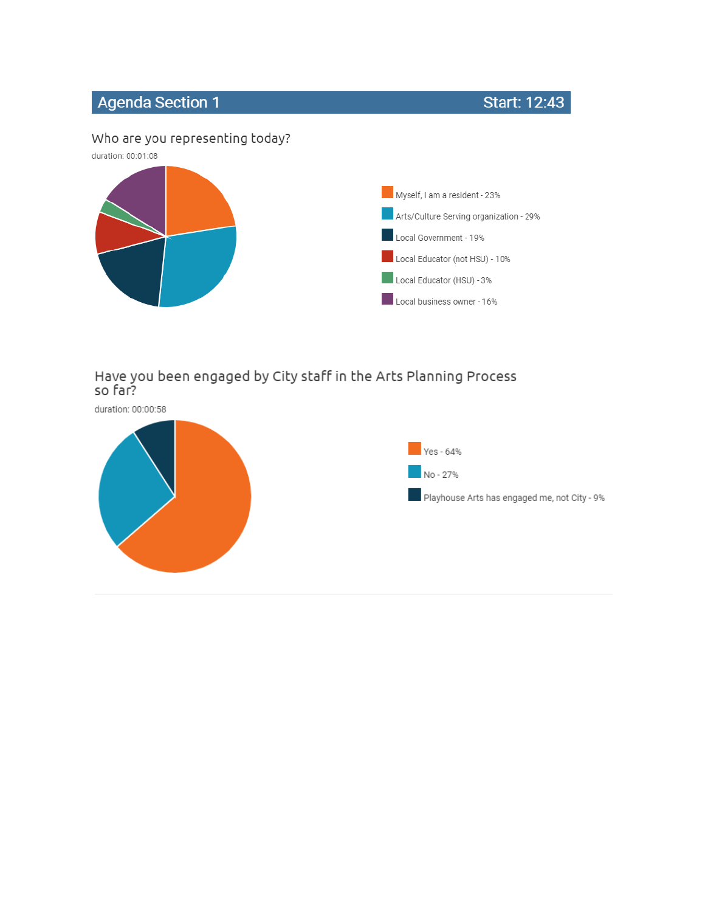# **Agenda Section 1**

**Start: 12:43** 

### Who are you representing today?



# Have you been engaged by City staff in the Arts Planning Process<br>so far?

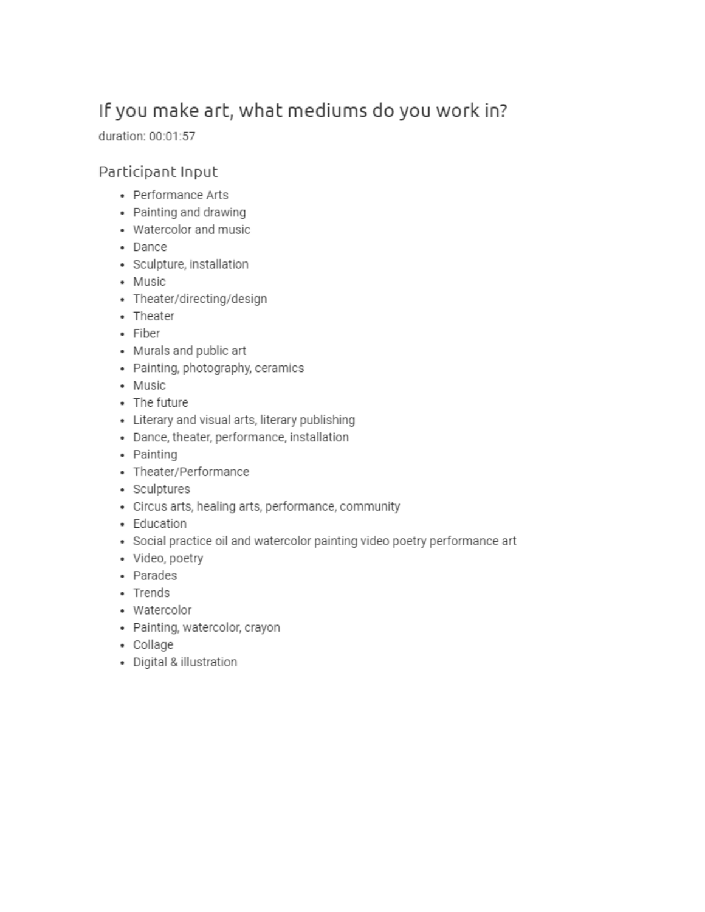# If you make art, what mediums do you work in?

duration: 00:01:57

### Participant Input

- Performance Arts
- Painting and drawing
- Watercolor and music
- · Dance
- · Sculpture, installation
- Music
- Theater/directing/design
- Theater
- · Fiber
- Murals and public art
- Painting, photography, ceramics
- Music
- The future
- Literary and visual arts, literary publishing
- · Dance, theater, performance, installation
- Painting
- Theater/Performance
- Sculptures
- Circus arts, healing arts, performance, community
- Education
- Social practice oil and watercolor painting video poetry performance art
- · Video, poetry
- Parades
- Trends
- Watercolor
- · Painting, watercolor, crayon
- Collage
- · Digital & illustration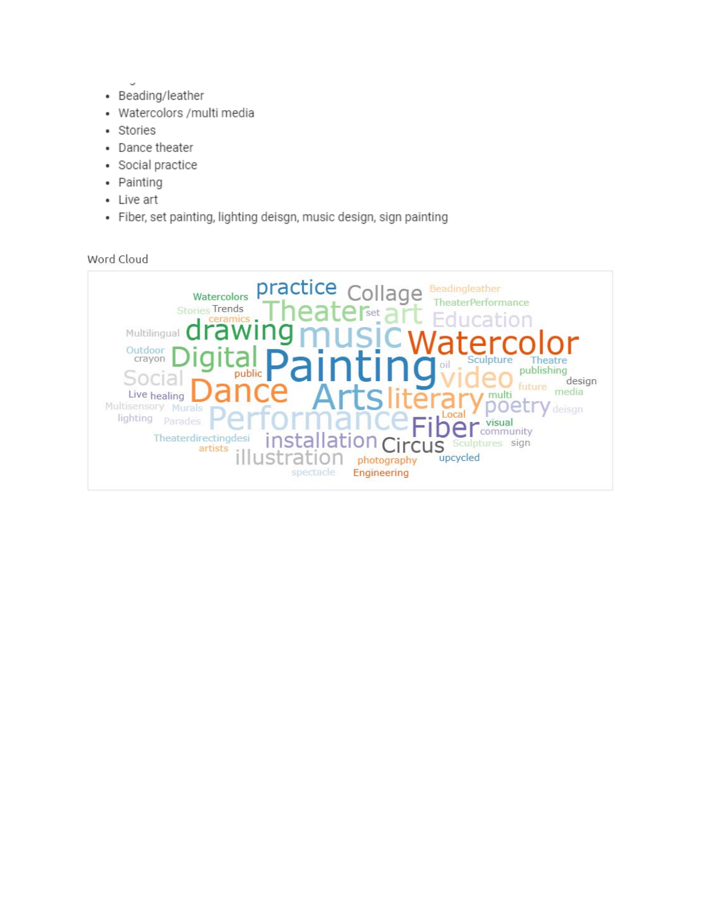- $\tilde{\phantom{a}}$ • Beading/leather
- · Watercolors / multi media
- · Stories
- Dance theater
- · Social practice
- Painting
- Live art
- · Fiber, set painting, lighting deisgn, music design, sign painting

Word Cloud

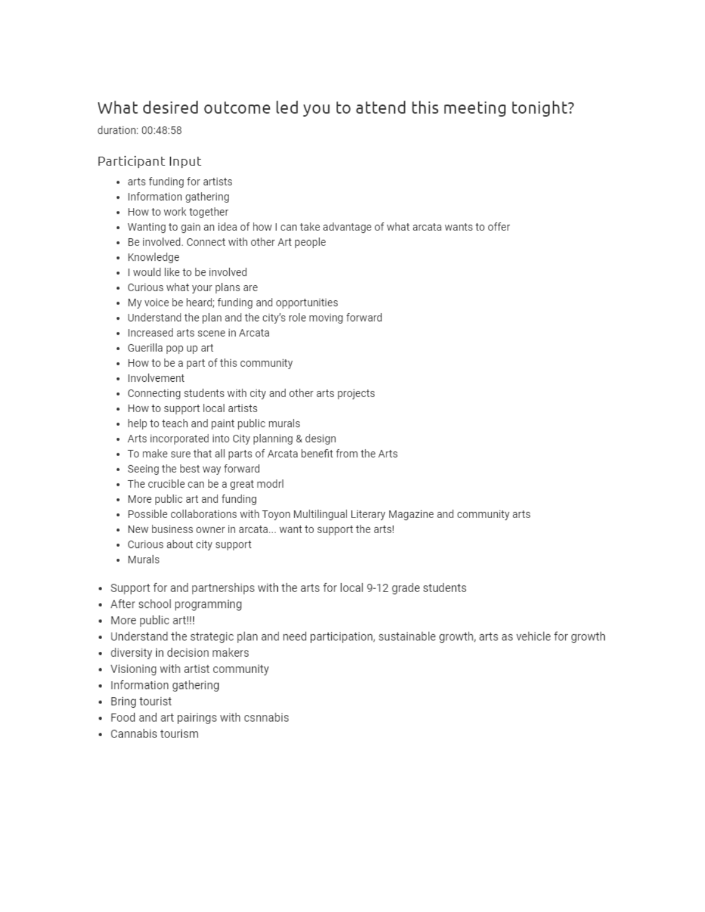## What desired outcome led you to attend this meeting tonight?

duration: 00:48:58

#### Participant Input

- arts funding for artists
- · Information gathering
- How to work together
- Wanting to gain an idea of how I can take advantage of what arcata wants to offer
- Be involved. Connect with other Art people
- Knowledge
- · I would like to be involved
- Curious what your plans are
- My voice be heard; funding and opportunities
- Understand the plan and the city's role moving forward
- · Increased arts scene in Arcata
- Guerilla pop up art
- How to be a part of this community
- · Involvement
- Connecting students with city and other arts projects
- How to support local artists
- help to teach and paint public murals
- Arts incorporated into City planning & design
- To make sure that all parts of Arcata benefit from the Arts
- Seeing the best way forward
- The crucible can be a great modrl
- More public art and funding
- Possible collaborations with Toyon Multilingual Literary Magazine and community arts
- New business owner in arcata... want to support the arts!
- Curious about city support
- Murals
- Support for and partnerships with the arts for local 9-12 grade students
- After school programming
- More public art!!!
- Understand the strategic plan and need participation, sustainable growth, arts as vehicle for growth
- · diversity in decision makers
- Visioning with artist community
- Information gathering
- Bring tourist
- Food and art pairings with csnnabis
- Cannabis tourism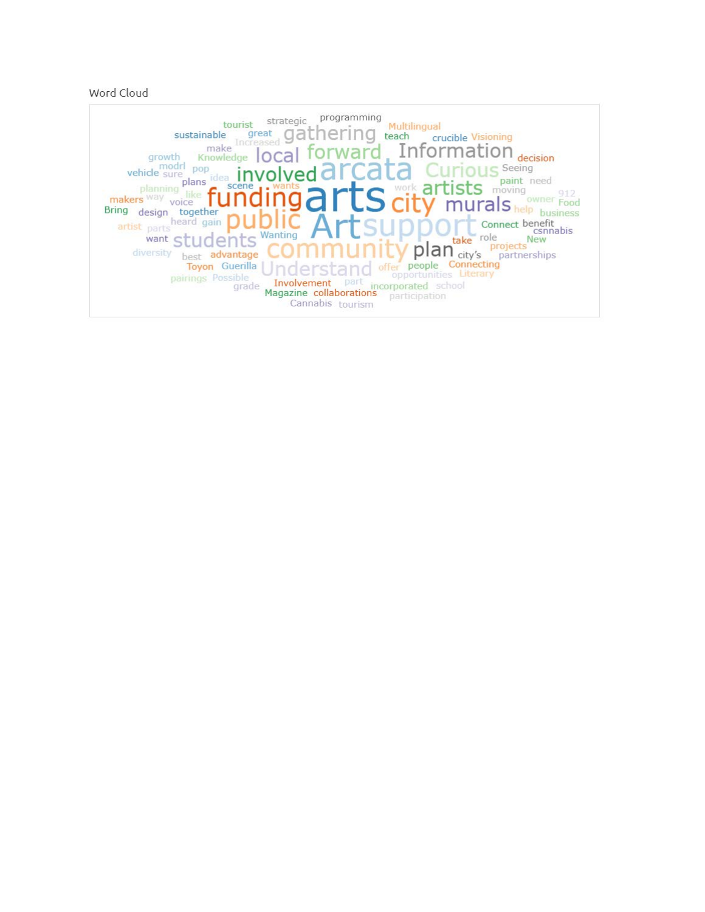#### Word Cloud

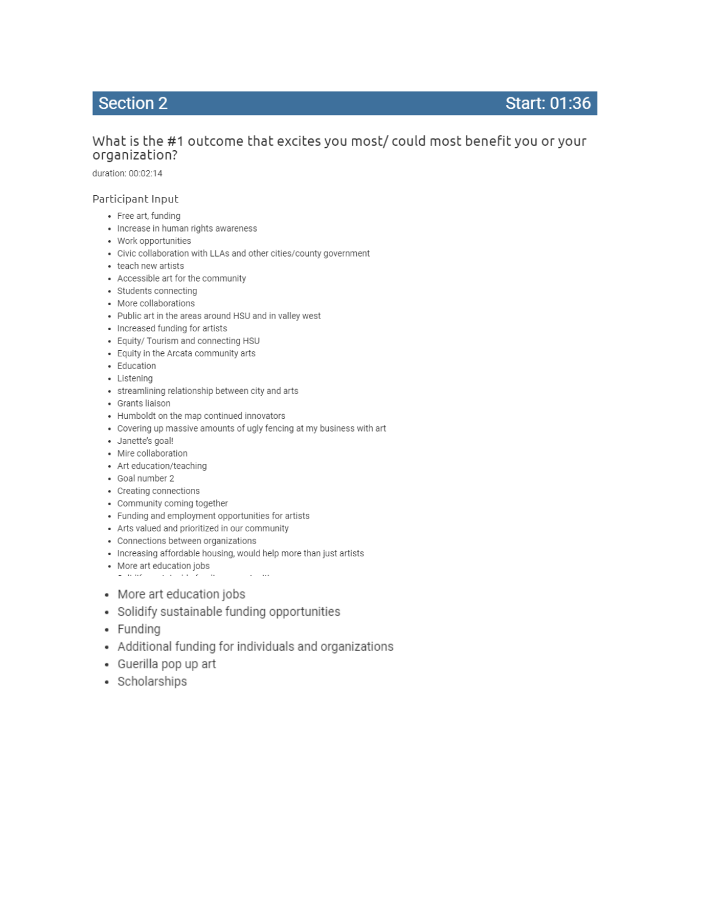### **Section 2**

### Start: 01:36

### What is the #1 outcome that excites you most/ could most benefit you or your organization?

duration: 00:02:14

#### Participant Input

- Free art, funding
- · Increase in human rights awareness
- Work opportunities
- Civic collaboration with LLAs and other cities/county government
- teach new artists
- Accessible art for the community
- · Students connecting
- More collaborations
- Public art in the areas around HSU and in valley west
- Increased funding for artists
- Equity/ Tourism and connecting HSU
- Equity in the Arcata community arts
- · Education
- · Listening
- streamlining relationship between city and arts
- Grants liaison
- Humboldt on the map continued innovators
- Covering up massive amounts of ugly fencing at my business with art
- · Janette's goal!
- Mire collaboration
- Art education/teaching
- Goal number 2
- Creating connections
- Community coming together
- Funding and employment opportunities for artists
- Arts valued and prioritized in our community
- Connections between organizations
- Increasing affordable housing, would help more than just artists
- More art education jobs  $\omega$  . The map  $\omega$  $\sim$   $\sim$   $\sim$   $\sim$   $\sim$   $\sim$
- More art education jobs
- · Solidify sustainable funding opportunities
- · Funding
- Additional funding for individuals and organizations
- Guerilla pop up art
- · Scholarships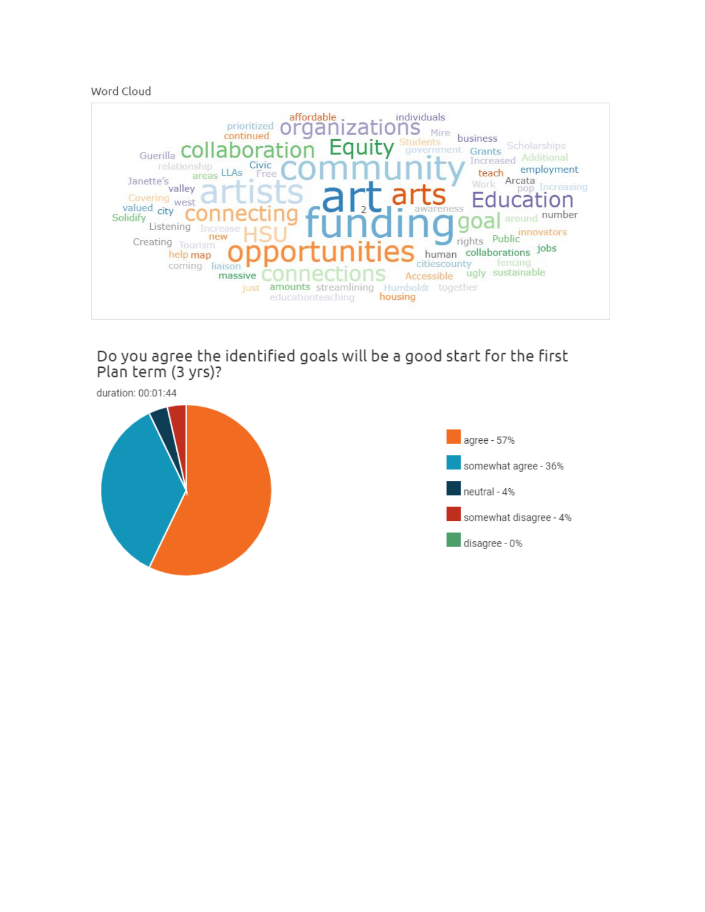Word Cloud



Do you agree the identified goals will be a good start for the first Plan term (3 yrs)?



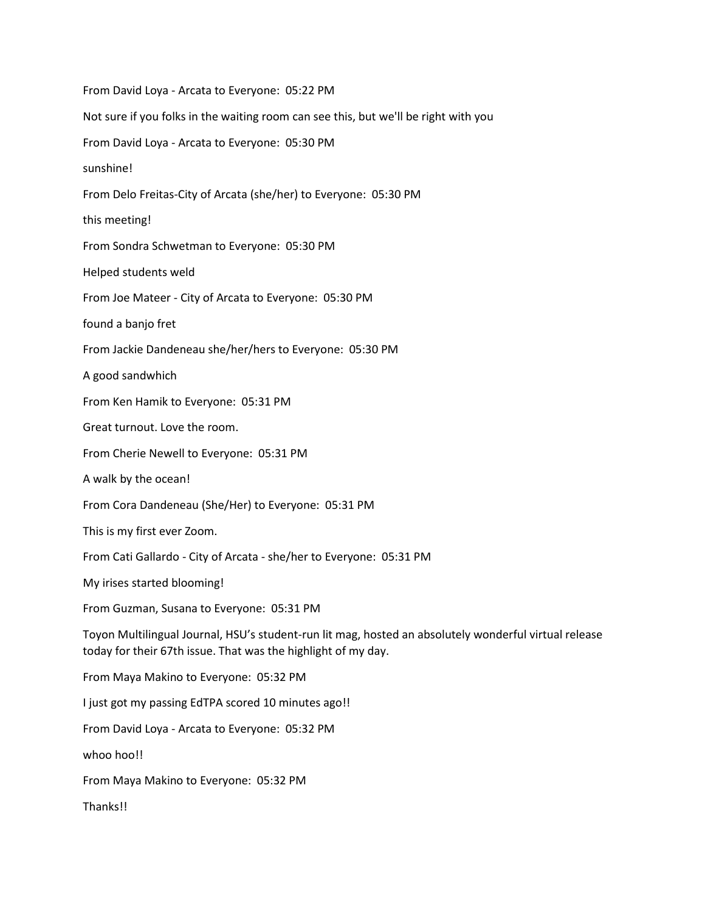From David Loya - Arcata to Everyone: 05:22 PM Not sure if you folks in the waiting room can see this, but we'll be right with you From David Loya - Arcata to Everyone: 05:30 PM sunshine! From Delo Freitas-City of Arcata (she/her) to Everyone: 05:30 PM this meeting! From Sondra Schwetman to Everyone: 05:30 PM Helped students weld From Joe Mateer - City of Arcata to Everyone: 05:30 PM found a banjo fret From Jackie Dandeneau she/her/hers to Everyone: 05:30 PM A good sandwhich From Ken Hamik to Everyone: 05:31 PM Great turnout. Love the room. From Cherie Newell to Everyone: 05:31 PM A walk by the ocean! From Cora Dandeneau (She/Her) to Everyone: 05:31 PM This is my first ever Zoom. From Cati Gallardo - City of Arcata - she/her to Everyone: 05:31 PM My irises started blooming! From Guzman, Susana to Everyone: 05:31 PM Toyon Multilingual Journal, HSU's student-run lit mag, hosted an absolutely wonderful virtual release today for their 67th issue. That was the highlight of my day. From Maya Makino to Everyone: 05:32 PM I just got my passing EdTPA scored 10 minutes ago!! From David Loya - Arcata to Everyone: 05:32 PM whoo hoo!! From Maya Makino to Everyone: 05:32 PM Thanks!!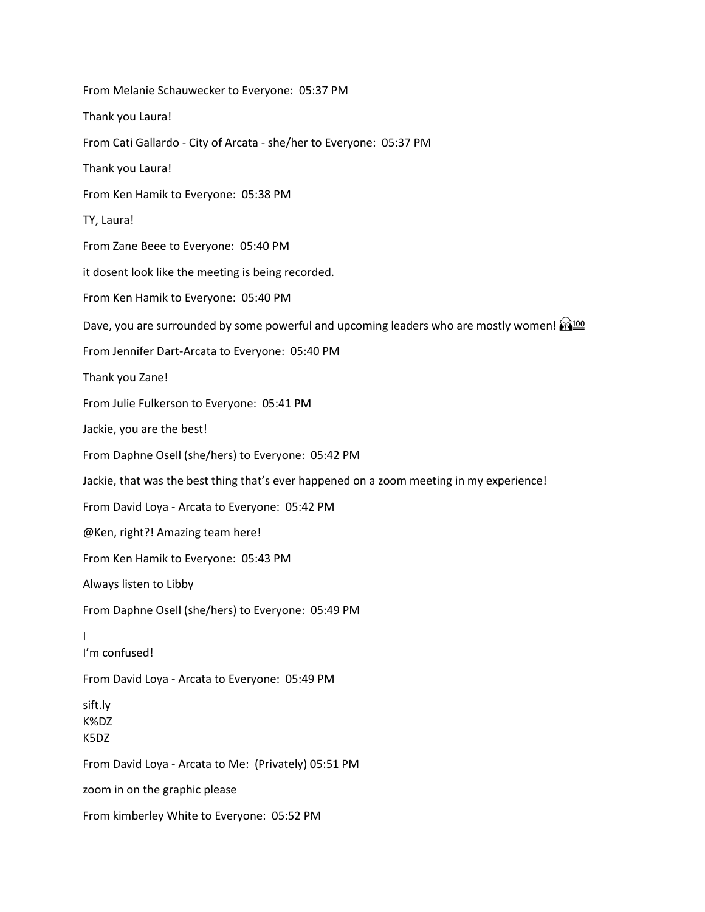From Melanie Schauwecker to Everyone: 05:37 PM Thank you Laura! From Cati Gallardo - City of Arcata - she/her to Everyone: 05:37 PM Thank you Laura! From Ken Hamik to Everyone: 05:38 PM TY, Laura! From Zane Beee to Everyone: 05:40 PM it dosent look like the meeting is being recorded. From Ken Hamik to Everyone: 05:40 PM Dave, you are surrounded by some powerful and upcoming leaders who are mostly women! From Jennifer Dart-Arcata to Everyone: 05:40 PM Thank you Zane! From Julie Fulkerson to Everyone: 05:41 PM Jackie, you are the best! From Daphne Osell (she/hers) to Everyone: 05:42 PM Jackie, that was the best thing that's ever happened on a zoom meeting in my experience! From David Loya - Arcata to Everyone: 05:42 PM @Ken, right?! Amazing team here! From Ken Hamik to Everyone: 05:43 PM Always listen to Libby From Daphne Osell (she/hers) to Everyone: 05:49 PM I I'm confused! From David Loya - Arcata to Everyone: 05:49 PM sift.ly K%DZ K5DZ From David Loya - Arcata to Me: (Privately) 05:51 PM zoom in on the graphic please From kimberley White to Everyone: 05:52 PM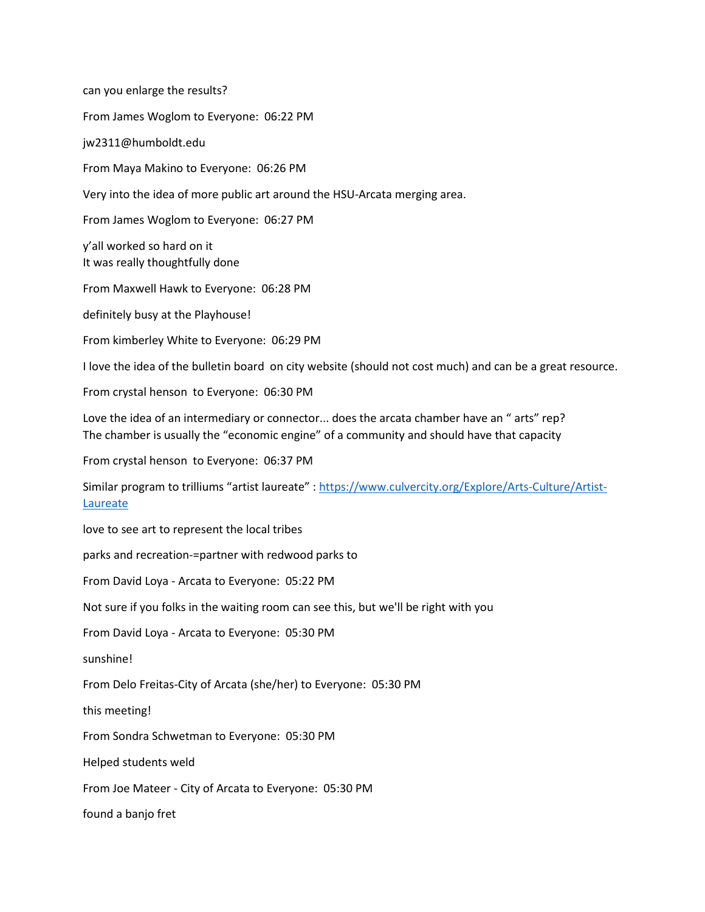can you enlarge the results? From James Woglom to Everyone: 06:22 PM jw2311@humboldt.edu From Maya Makino to Everyone: 06:26 PM Very into the idea of more public art around the HSU-Arcata merging area. From James Woglom to Everyone: 06:27 PM y'all worked so hard on it It was really thoughtfully done From Maxwell Hawk to Everyone: 06:28 PM definitely busy at the Playhouse! From kimberley White to Everyone: 06:29 PM I love the idea of the bulletin board on city website (should not cost much) and can be a great resource. From crystal henson to Everyone: 06:30 PM Love the idea of an intermediary or connector... does the arcata chamber have an " arts" rep? The chamber is usually the "economic engine" of a community and should have that capacity From crystal henson to Everyone: 06:37 PM Similar program to trilliums "artist laureate" : [https://www.culvercity.org/Explore/Arts-Culture/Artist-](https://www.culvercity.org/Explore/Arts-Culture/Artist-Laureate)[Laureate](https://www.culvercity.org/Explore/Arts-Culture/Artist-Laureate) love to see art to represent the local tribes parks and recreation-=partner with redwood parks to From David Loya - Arcata to Everyone: 05:22 PM Not sure if you folks in the waiting room can see this, but we'll be right with you From David Loya - Arcata to Everyone: 05:30 PM sunshine! From Delo Freitas-City of Arcata (she/her) to Everyone: 05:30 PM this meeting! From Sondra Schwetman to Everyone: 05:30 PM Helped students weld From Joe Mateer - City of Arcata to Everyone: 05:30 PM found a banjo fret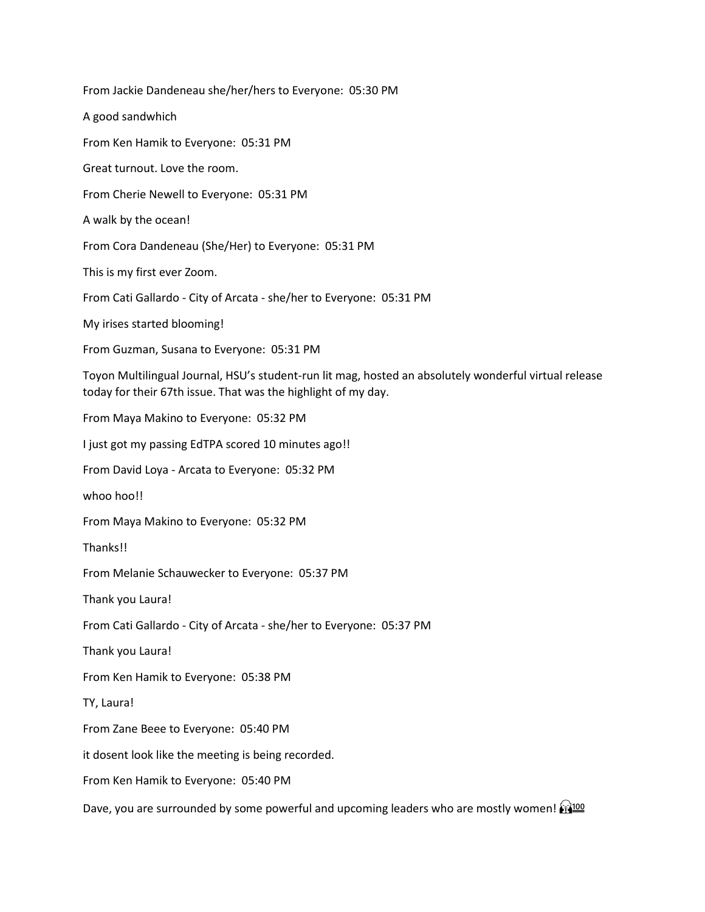From Jackie Dandeneau she/her/hers to Everyone: 05:30 PM A good sandwhich From Ken Hamik to Everyone: 05:31 PM Great turnout. Love the room. From Cherie Newell to Everyone: 05:31 PM A walk by the ocean! From Cora Dandeneau (She/Her) to Everyone: 05:31 PM This is my first ever Zoom. From Cati Gallardo - City of Arcata - she/her to Everyone: 05:31 PM My irises started blooming! From Guzman, Susana to Everyone: 05:31 PM Toyon Multilingual Journal, HSU's student-run lit mag, hosted an absolutely wonderful virtual release today for their 67th issue. That was the highlight of my day. From Maya Makino to Everyone: 05:32 PM I just got my passing EdTPA scored 10 minutes ago!! From David Loya - Arcata to Everyone: 05:32 PM whoo hoo!! From Maya Makino to Everyone: 05:32 PM Thanks!! From Melanie Schauwecker to Everyone: 05:37 PM Thank you Laura! From Cati Gallardo - City of Arcata - she/her to Everyone: 05:37 PM Thank you Laura! From Ken Hamik to Everyone: 05:38 PM TY, Laura! From Zane Beee to Everyone: 05:40 PM it dosent look like the meeting is being recorded. From Ken Hamik to Everyone: 05:40 PM Dave, you are surrounded by some powerful and upcoming leaders who are mostly women!  $\frac{1}{24}$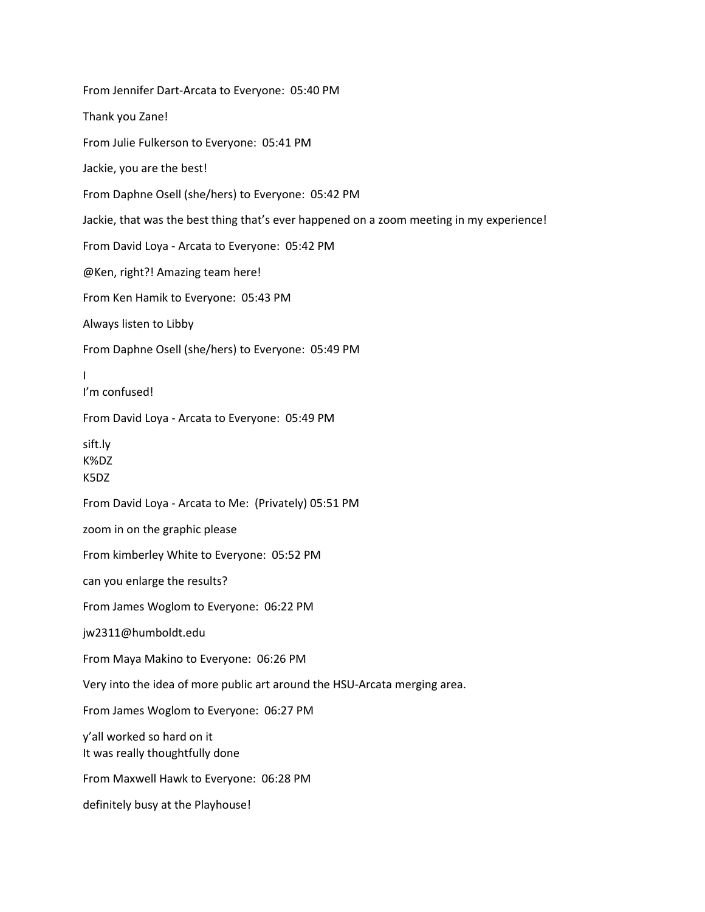From Jennifer Dart-Arcata to Everyone: 05:40 PM Thank you Zane! From Julie Fulkerson to Everyone: 05:41 PM Jackie, you are the best! From Daphne Osell (she/hers) to Everyone: 05:42 PM Jackie, that was the best thing that's ever happened on a zoom meeting in my experience! From David Loya - Arcata to Everyone: 05:42 PM @Ken, right?! Amazing team here! From Ken Hamik to Everyone: 05:43 PM Always listen to Libby From Daphne Osell (she/hers) to Everyone: 05:49 PM I I'm confused! From David Loya - Arcata to Everyone: 05:49 PM sift.ly K%DZ K5DZ From David Loya - Arcata to Me: (Privately) 05:51 PM zoom in on the graphic please From kimberley White to Everyone: 05:52 PM can you enlarge the results? From James Woglom to Everyone: 06:22 PM jw2311@humboldt.edu From Maya Makino to Everyone: 06:26 PM Very into the idea of more public art around the HSU-Arcata merging area. From James Woglom to Everyone: 06:27 PM y'all worked so hard on it It was really thoughtfully done From Maxwell Hawk to Everyone: 06:28 PM definitely busy at the Playhouse!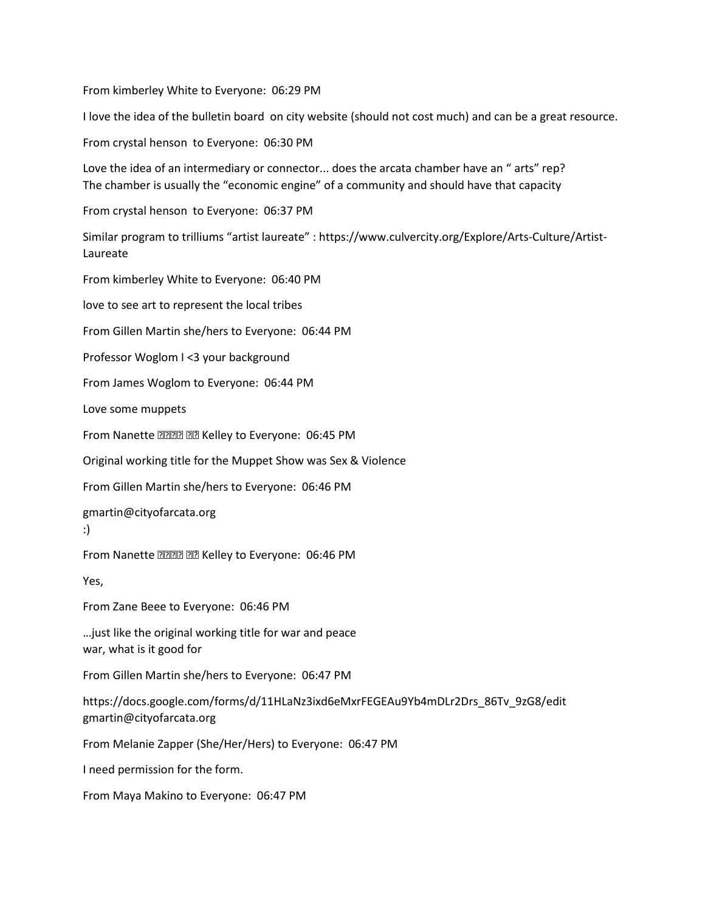From kimberley White to Everyone: 06:29 PM

I love the idea of the bulletin board on city website (should not cost much) and can be a great resource.

From crystal henson to Everyone: 06:30 PM

Love the idea of an intermediary or connector... does the arcata chamber have an " arts" rep? The chamber is usually the "economic engine" of a community and should have that capacity

From crystal henson to Everyone: 06:37 PM

Similar program to trilliums "artist laureate" : https://www.culvercity.org/Explore/Arts-Culture/Artist-Laureate

From kimberley White to Everyone: 06:40 PM

love to see art to represent the local tribes

From Gillen Martin she/hers to Everyone: 06:44 PM

Professor Woglom I <3 your background

From James Woglom to Everyone: 06:44 PM

Love some muppets

From Nanette **ZZZZ ZZ** Kelley to Everyone: 06:45 PM

Original working title for the Muppet Show was Sex & Violence

From Gillen Martin she/hers to Everyone: 06:46 PM

gmartin@cityofarcata.org

:)

From Nanette **ZZZZ AZ** Kelley to Everyone: 06:46 PM

Yes,

From Zane Beee to Everyone: 06:46 PM

…just like the original working title for war and peace war, what is it good for

From Gillen Martin she/hers to Everyone: 06:47 PM

https://docs.google.com/forms/d/11HLaNz3ixd6eMxrFEGEAu9Yb4mDLr2Drs\_86Tv\_9zG8/edit gmartin@cityofarcata.org

From Melanie Zapper (She/Her/Hers) to Everyone: 06:47 PM

I need permission for the form.

From Maya Makino to Everyone: 06:47 PM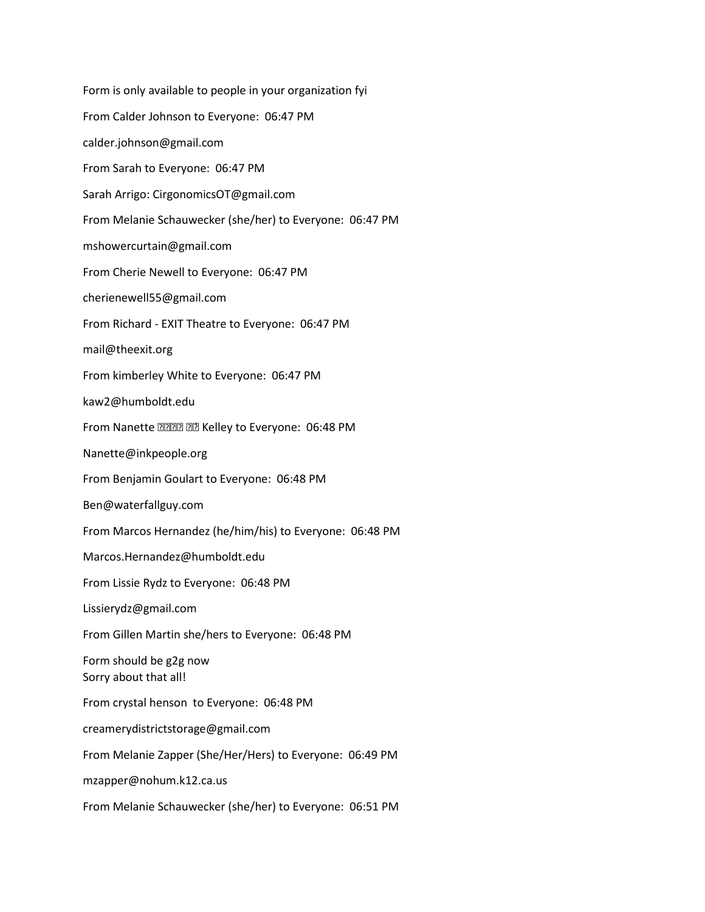Form is only available to people in your organization fyi From Calder Johnson to Everyone: 06:47 PM calder.johnson@gmail.com From Sarah to Everyone: 06:47 PM Sarah Arrigo: CirgonomicsOT@gmail.com From Melanie Schauwecker (she/her) to Everyone: 06:47 PM mshowercurtain@gmail.com From Cherie Newell to Everyone: 06:47 PM cherienewell55@gmail.com From Richard - EXIT Theatre to Everyone: 06:47 PM mail@theexit.org From kimberley White to Everyone: 06:47 PM kaw2@humboldt.edu From Nanette **anna and Kelley to Everyone: 06:48 PM** Nanette@inkpeople.org From Benjamin Goulart to Everyone: 06:48 PM Ben@waterfallguy.com From Marcos Hernandez (he/him/his) to Everyone: 06:48 PM Marcos.Hernandez@humboldt.edu From Lissie Rydz to Everyone: 06:48 PM Lissierydz@gmail.com From Gillen Martin she/hers to Everyone: 06:48 PM Form should be g2g now Sorry about that all! From crystal henson to Everyone: 06:48 PM creamerydistrictstorage@gmail.com From Melanie Zapper (She/Her/Hers) to Everyone: 06:49 PM mzapper@nohum.k12.ca.us From Melanie Schauwecker (she/her) to Everyone: 06:51 PM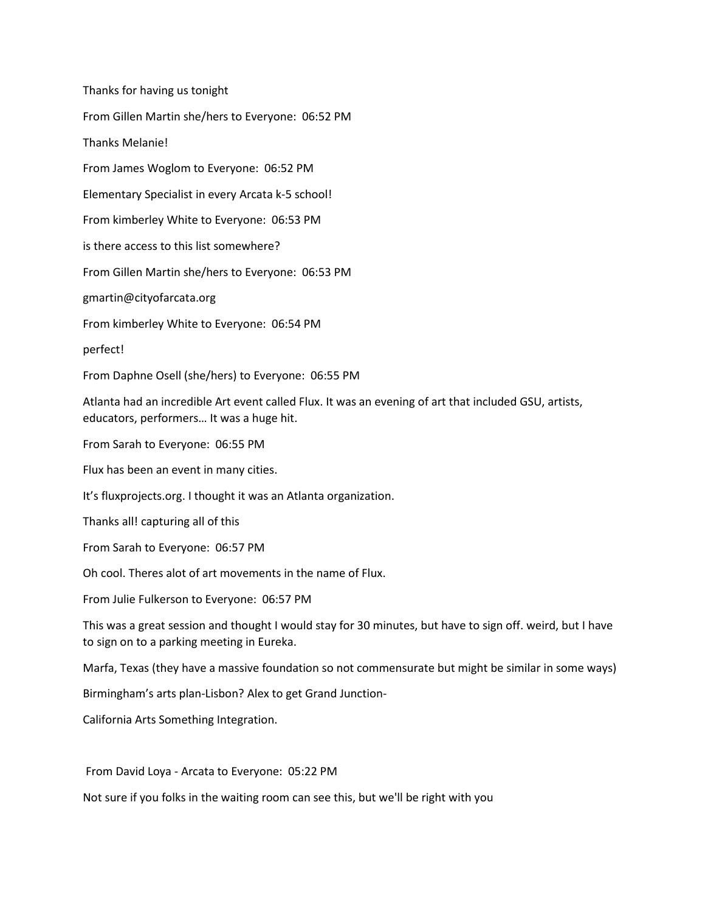Thanks for having us tonight From Gillen Martin she/hers to Everyone: 06:52 PM Thanks Melanie! From James Woglom to Everyone: 06:52 PM Elementary Specialist in every Arcata k-5 school! From kimberley White to Everyone: 06:53 PM is there access to this list somewhere? From Gillen Martin she/hers to Everyone: 06:53 PM gmartin@cityofarcata.org From kimberley White to Everyone: 06:54 PM perfect! From Daphne Osell (she/hers) to Everyone: 06:55 PM Atlanta had an incredible Art event called Flux. It was an evening of art that included GSU, artists, educators, performers… It was a huge hit. From Sarah to Everyone: 06:55 PM Flux has been an event in many cities. It's fluxprojects.org. I thought it was an Atlanta organization. Thanks all! capturing all of this From Sarah to Everyone: 06:57 PM Oh cool. Theres alot of art movements in the name of Flux. From Julie Fulkerson to Everyone: 06:57 PM This was a great session and thought I would stay for 30 minutes, but have to sign off. weird, but I have to sign on to a parking meeting in Eureka. Marfa, Texas (they have a massive foundation so not commensurate but might be similar in some ways) Birmingham's arts plan-Lisbon? Alex to get Grand Junction-California Arts Something Integration.

From David Loya - Arcata to Everyone: 05:22 PM

Not sure if you folks in the waiting room can see this, but we'll be right with you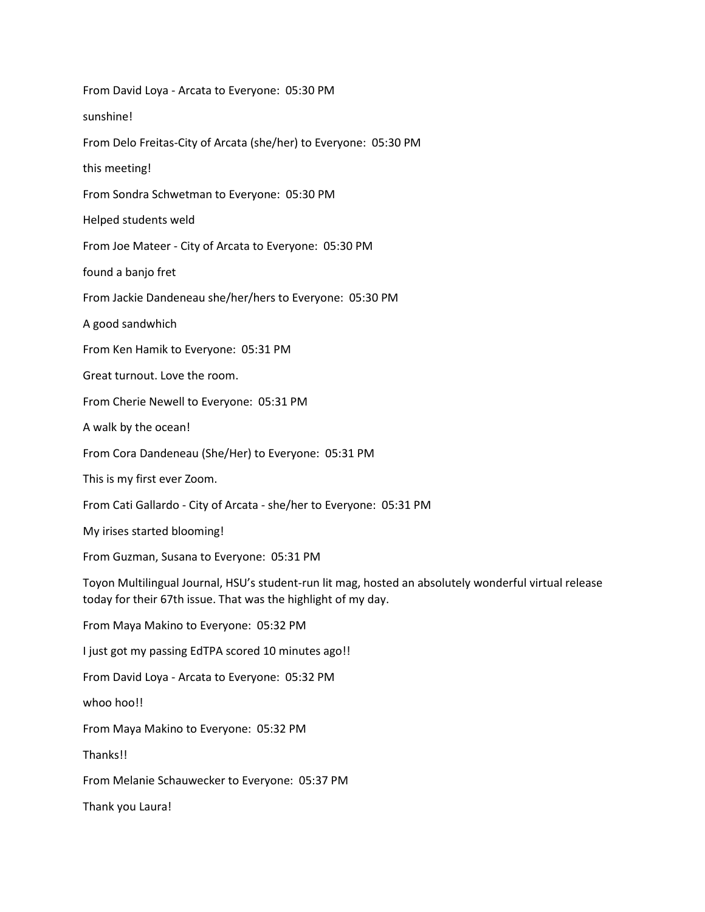| From David Loya - Arcata to Everyone: 05:30 PM                                                                                                                         |
|------------------------------------------------------------------------------------------------------------------------------------------------------------------------|
| sunshine!                                                                                                                                                              |
| From Delo Freitas-City of Arcata (she/her) to Everyone: 05:30 PM                                                                                                       |
| this meeting!                                                                                                                                                          |
| From Sondra Schwetman to Everyone: 05:30 PM                                                                                                                            |
| Helped students weld                                                                                                                                                   |
| From Joe Mateer - City of Arcata to Everyone: 05:30 PM                                                                                                                 |
| found a banjo fret                                                                                                                                                     |
| From Jackie Dandeneau she/her/hers to Everyone: 05:30 PM                                                                                                               |
| A good sandwhich                                                                                                                                                       |
| From Ken Hamik to Everyone: 05:31 PM                                                                                                                                   |
| Great turnout. Love the room.                                                                                                                                          |
| From Cherie Newell to Everyone: 05:31 PM                                                                                                                               |
| A walk by the ocean!                                                                                                                                                   |
| From Cora Dandeneau (She/Her) to Everyone: 05:31 PM                                                                                                                    |
| This is my first ever Zoom.                                                                                                                                            |
| From Cati Gallardo - City of Arcata - she/her to Everyone: 05:31 PM                                                                                                    |
| My irises started blooming!                                                                                                                                            |
| From Guzman, Susana to Everyone: 05:31 PM                                                                                                                              |
| Toyon Multilingual Journal, HSU's student-run lit mag, hosted an absolutely wonderful virtual release<br>today for their 67th issue. That was the highlight of my day. |
| From Maya Makino to Everyone: 05:32 PM                                                                                                                                 |
| I just got my passing EdTPA scored 10 minutes ago!!                                                                                                                    |
| From David Loya - Arcata to Everyone: 05:32 PM                                                                                                                         |
| whoo hoo!!                                                                                                                                                             |
| From Maya Makino to Everyone: 05:32 PM                                                                                                                                 |
| Thanks!!                                                                                                                                                               |
| From Melanie Schauwecker to Everyone: 05:37 PM                                                                                                                         |
| Thank you Laura!                                                                                                                                                       |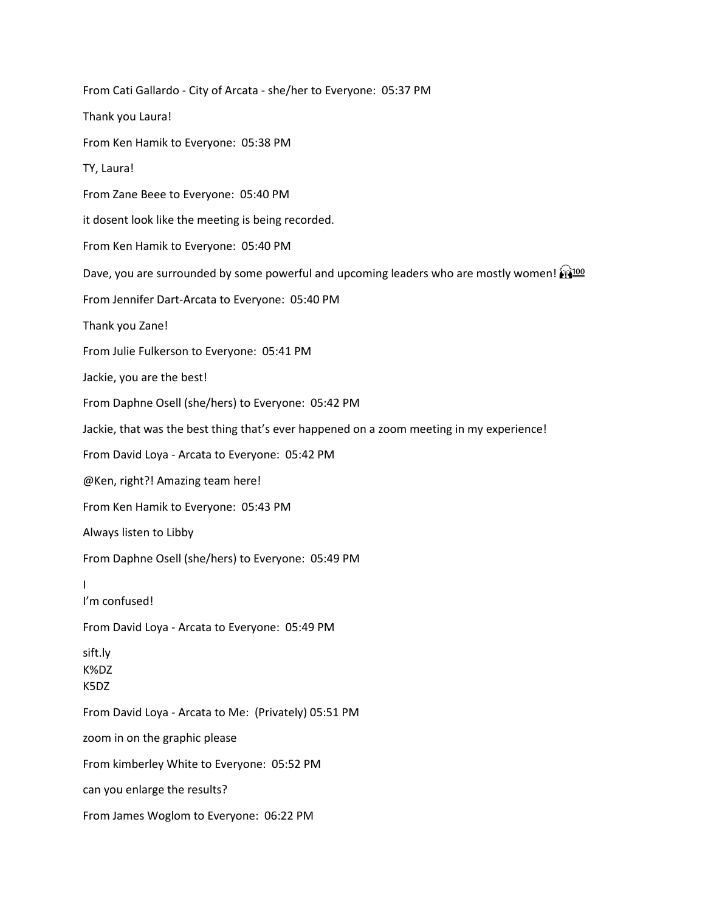From Cati Gallardo - City of Arcata - she/her to Everyone: 05:37 PM Thank you Laura! From Ken Hamik to Everyone: 05:38 PM TY, Laura! From Zane Beee to Everyone: 05:40 PM it dosent look like the meeting is being recorded. From Ken Hamik to Everyone: 05:40 PM Dave, you are surrounded by some powerful and upcoming leaders who are mostly women!  $\frac{1}{10}$ From Jennifer Dart-Arcata to Everyone: 05:40 PM Thank you Zane! From Julie Fulkerson to Everyone: 05:41 PM Jackie, you are the best! From Daphne Osell (she/hers) to Everyone: 05:42 PM Jackie, that was the best thing that's ever happened on a zoom meeting in my experience! From David Loya - Arcata to Everyone: 05:42 PM @Ken, right?! Amazing team here! From Ken Hamik to Everyone: 05:43 PM Always listen to Libby From Daphne Osell (she/hers) to Everyone: 05:49 PM I I'm confused! From David Loya - Arcata to Everyone: 05:49 PM sift.ly K%DZ K5DZ From David Loya - Arcata to Me: (Privately) 05:51 PM zoom in on the graphic please From kimberley White to Everyone: 05:52 PM can you enlarge the results? From James Woglom to Everyone: 06:22 PM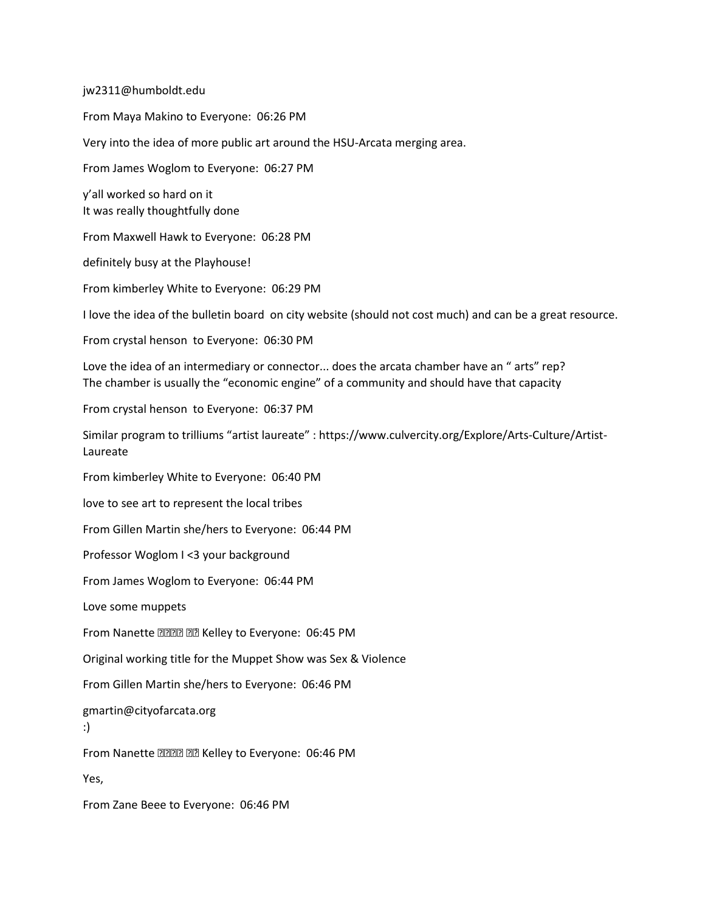jw2311@humboldt.edu

From Maya Makino to Everyone: 06:26 PM Very into the idea of more public art around the HSU-Arcata merging area. From James Woglom to Everyone: 06:27 PM y'all worked so hard on it It was really thoughtfully done From Maxwell Hawk to Everyone: 06:28 PM definitely busy at the Playhouse! From kimberley White to Everyone: 06:29 PM I love the idea of the bulletin board on city website (should not cost much) and can be a great resource. From crystal henson to Everyone: 06:30 PM Love the idea of an intermediary or connector... does the arcata chamber have an " arts" rep? The chamber is usually the "economic engine" of a community and should have that capacity From crystal henson to Everyone: 06:37 PM Similar program to trilliums "artist laureate" : https://www.culvercity.org/Explore/Arts-Culture/Artist-Laureate From kimberley White to Everyone: 06:40 PM love to see art to represent the local tribes From Gillen Martin she/hers to Everyone: 06:44 PM Professor Woglom I <3 your background From James Woglom to Everyone: 06:44 PM Love some muppets From Nanette **anna and Kelley to Everyone: 06:45 PM** Original working title for the Muppet Show was Sex & Violence From Gillen Martin she/hers to Everyone: 06:46 PM gmartin@cityofarcata.org :) From Nanette **alled** all Kelley to Everyone: 06:46 PM Yes, From Zane Beee to Everyone: 06:46 PM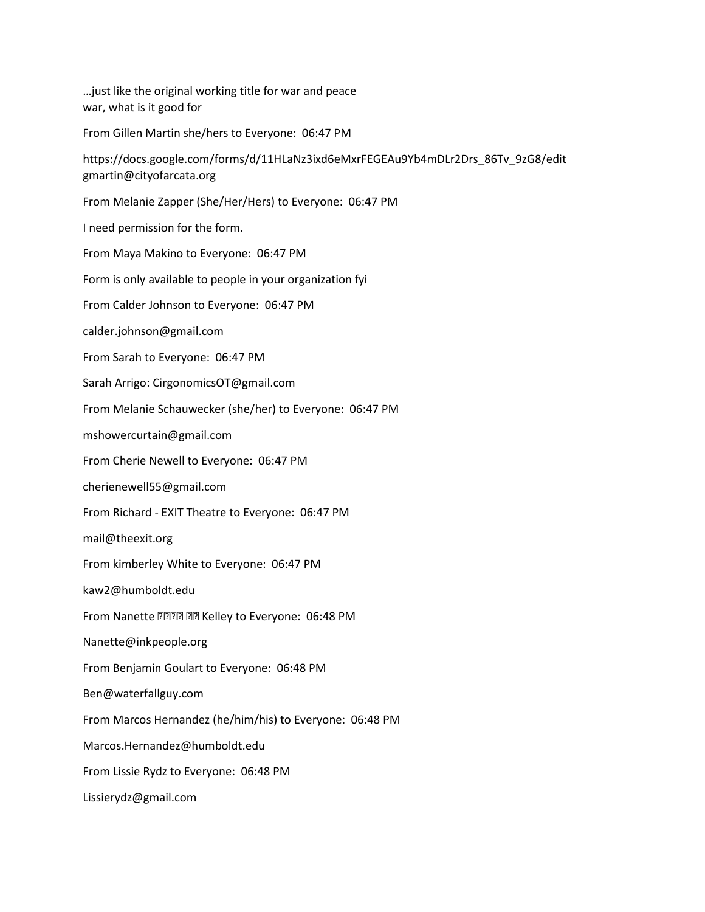…just like the original working title for war and peace war, what is it good for

From Gillen Martin she/hers to Everyone: 06:47 PM

https://docs.google.com/forms/d/11HLaNz3ixd6eMxrFEGEAu9Yb4mDLr2Drs\_86Tv\_9zG8/edit gmartin@cityofarcata.org

From Melanie Zapper (She/Her/Hers) to Everyone: 06:47 PM

I need permission for the form.

From Maya Makino to Everyone: 06:47 PM

Form is only available to people in your organization fyi

From Calder Johnson to Everyone: 06:47 PM

calder.johnson@gmail.com

From Sarah to Everyone: 06:47 PM

Sarah Arrigo: CirgonomicsOT@gmail.com

From Melanie Schauwecker (she/her) to Everyone: 06:47 PM

mshowercurtain@gmail.com

From Cherie Newell to Everyone: 06:47 PM

cherienewell55@gmail.com

From Richard - EXIT Theatre to Everyone: 06:47 PM

mail@theexit.org

From kimberley White to Everyone: 06:47 PM

kaw2@humboldt.edu

From Nanette **ZZZZ ZZZ** Kelley to Everyone: 06:48 PM

Nanette@inkpeople.org

From Benjamin Goulart to Everyone: 06:48 PM

Ben@waterfallguy.com

From Marcos Hernandez (he/him/his) to Everyone: 06:48 PM

Marcos.Hernandez@humboldt.edu

From Lissie Rydz to Everyone: 06:48 PM

Lissierydz@gmail.com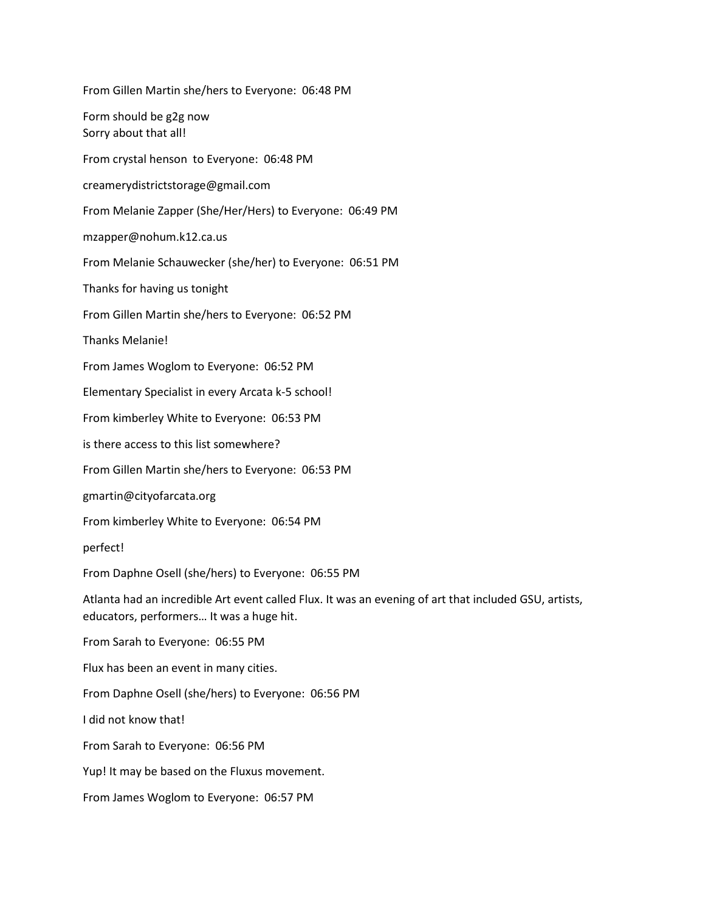From Gillen Martin she/hers to Everyone: 06:48 PM Form should be g2g now Sorry about that all! From crystal henson to Everyone: 06:48 PM creamerydistrictstorage@gmail.com From Melanie Zapper (She/Her/Hers) to Everyone: 06:49 PM mzapper@nohum.k12.ca.us From Melanie Schauwecker (she/her) to Everyone: 06:51 PM Thanks for having us tonight From Gillen Martin she/hers to Everyone: 06:52 PM Thanks Melanie! From James Woglom to Everyone: 06:52 PM Elementary Specialist in every Arcata k-5 school! From kimberley White to Everyone: 06:53 PM is there access to this list somewhere? From Gillen Martin she/hers to Everyone: 06:53 PM gmartin@cityofarcata.org From kimberley White to Everyone: 06:54 PM perfect! From Daphne Osell (she/hers) to Everyone: 06:55 PM Atlanta had an incredible Art event called Flux. It was an evening of art that included GSU, artists, educators, performers… It was a huge hit. From Sarah to Everyone: 06:55 PM Flux has been an event in many cities. From Daphne Osell (she/hers) to Everyone: 06:56 PM I did not know that! From Sarah to Everyone: 06:56 PM Yup! It may be based on the Fluxus movement. From James Woglom to Everyone: 06:57 PM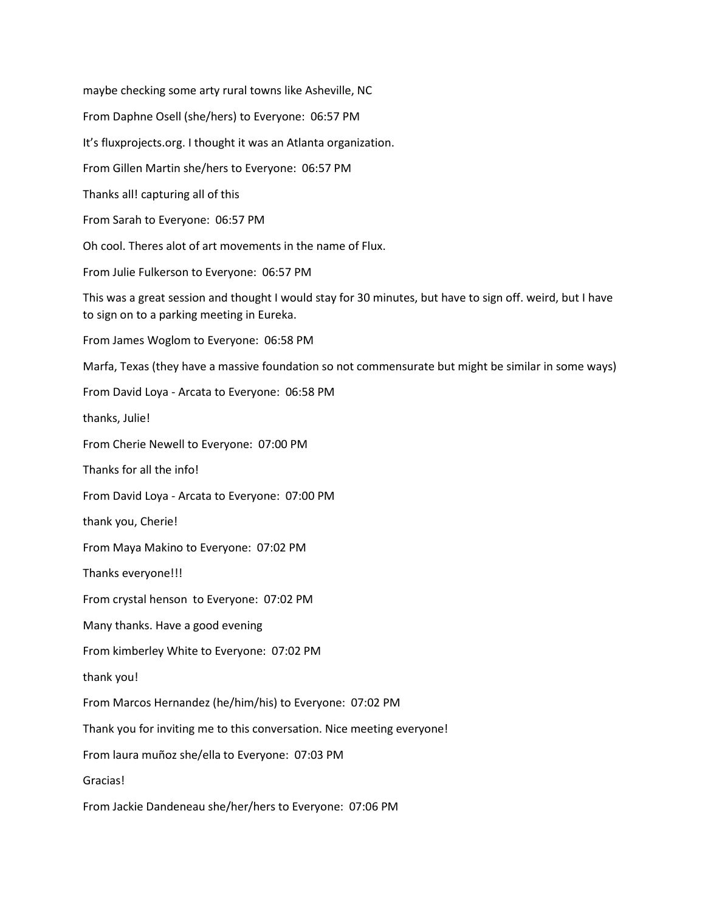maybe checking some arty rural towns like Asheville, NC From Daphne Osell (she/hers) to Everyone: 06:57 PM It's fluxprojects.org. I thought it was an Atlanta organization. From Gillen Martin she/hers to Everyone: 06:57 PM Thanks all! capturing all of this From Sarah to Everyone: 06:57 PM Oh cool. Theres alot of art movements in the name of Flux. From Julie Fulkerson to Everyone: 06:57 PM This was a great session and thought I would stay for 30 minutes, but have to sign off. weird, but I have to sign on to a parking meeting in Eureka. From James Woglom to Everyone: 06:58 PM Marfa, Texas (they have a massive foundation so not commensurate but might be similar in some ways) From David Loya - Arcata to Everyone: 06:58 PM thanks, Julie! From Cherie Newell to Everyone: 07:00 PM Thanks for all the info! From David Loya - Arcata to Everyone: 07:00 PM thank you, Cherie! From Maya Makino to Everyone: 07:02 PM Thanks everyone!!! From crystal henson to Everyone: 07:02 PM Many thanks. Have a good evening From kimberley White to Everyone: 07:02 PM thank you! From Marcos Hernandez (he/him/his) to Everyone: 07:02 PM Thank you for inviting me to this conversation. Nice meeting everyone! From laura muñoz she/ella to Everyone: 07:03 PM Gracias! From Jackie Dandeneau she/her/hers to Everyone: 07:06 PM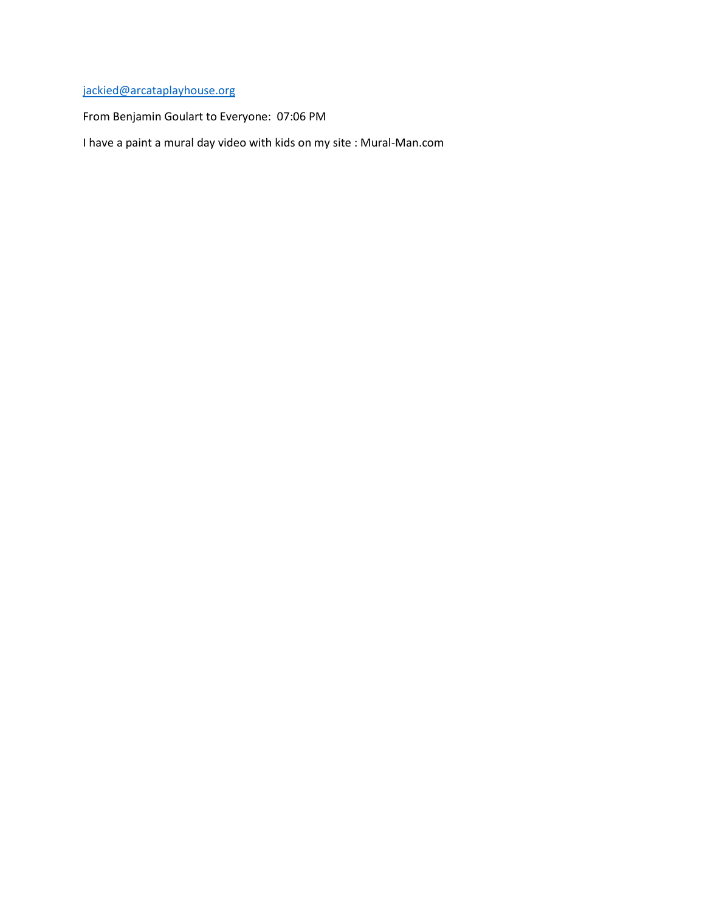### [jackied@arcataplayhouse.org](mailto:jackied@arcataplayhouse.org)

From Benjamin Goulart to Everyone: 07:06 PM

I have a paint a mural day video with kids on my site : Mural-Man.com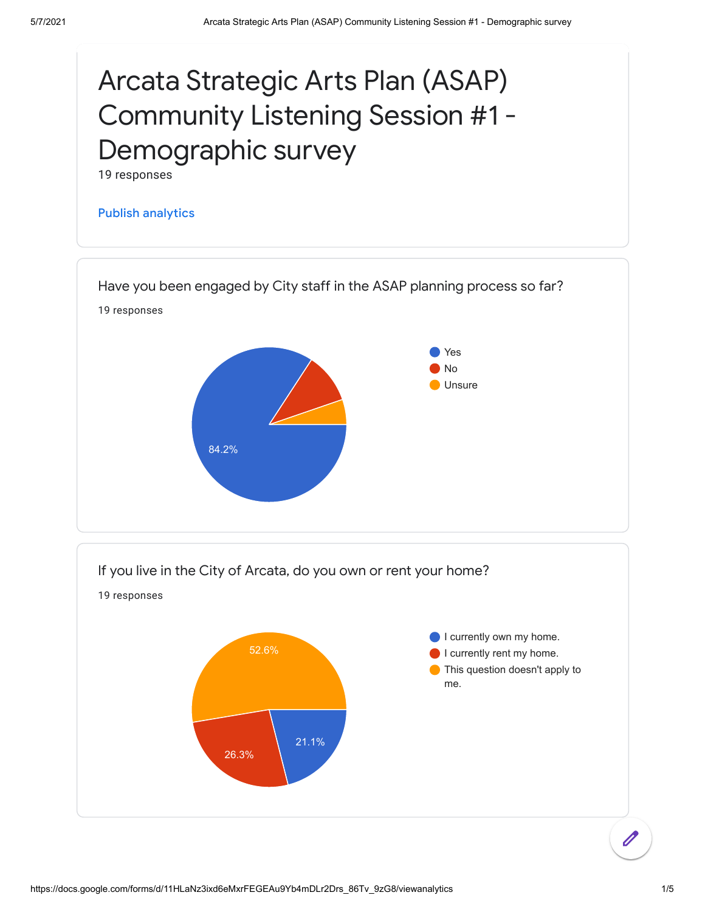

![](_page_25_Figure_3.jpeg)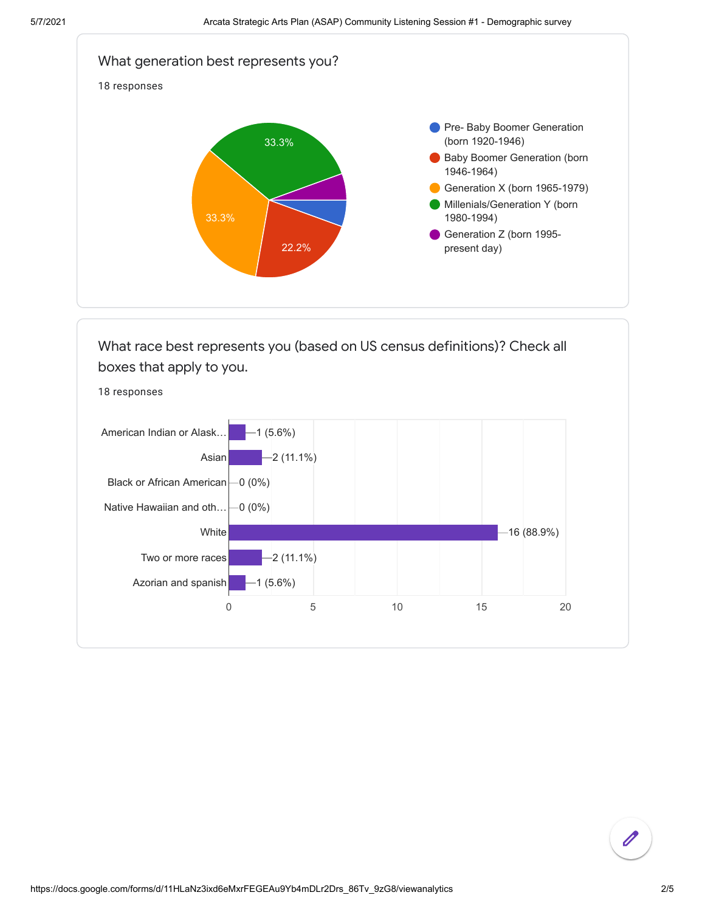![](_page_26_Figure_2.jpeg)

![](_page_26_Figure_3.jpeg)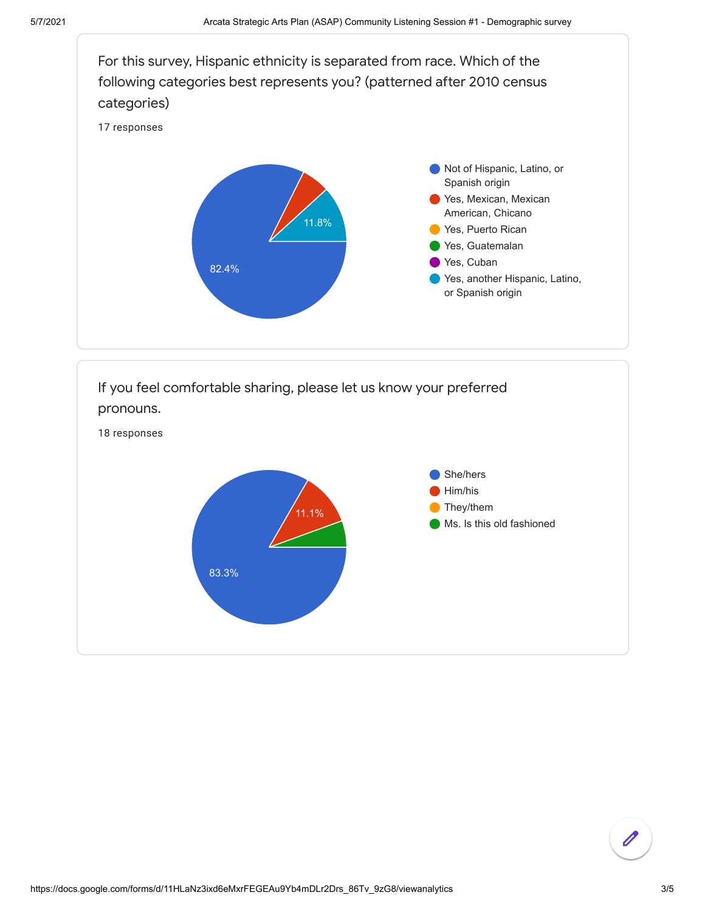![](_page_27_Figure_2.jpeg)

![](_page_27_Figure_3.jpeg)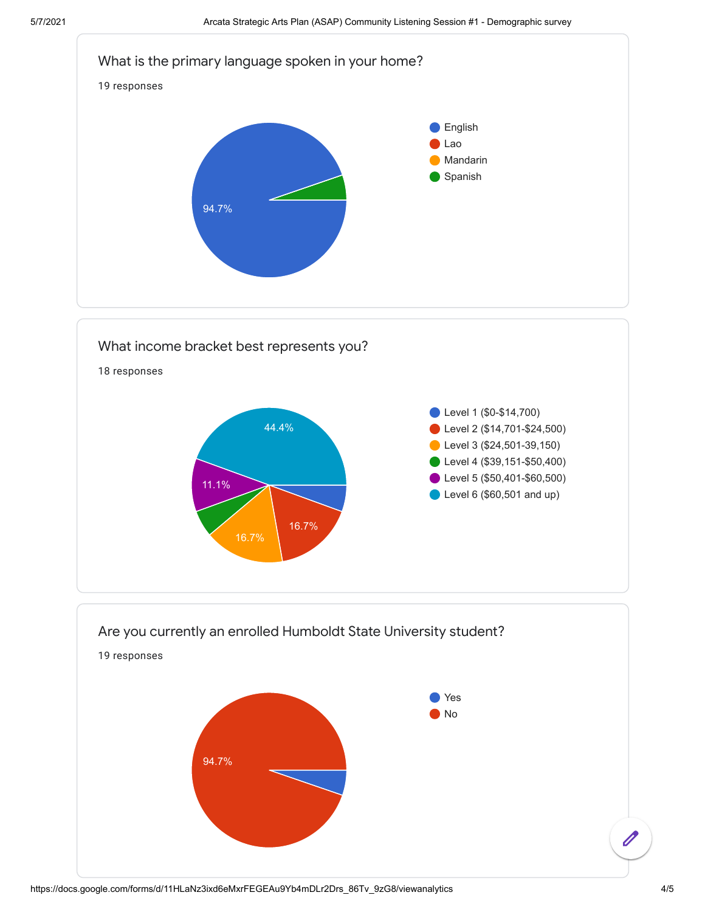![](_page_28_Figure_2.jpeg)